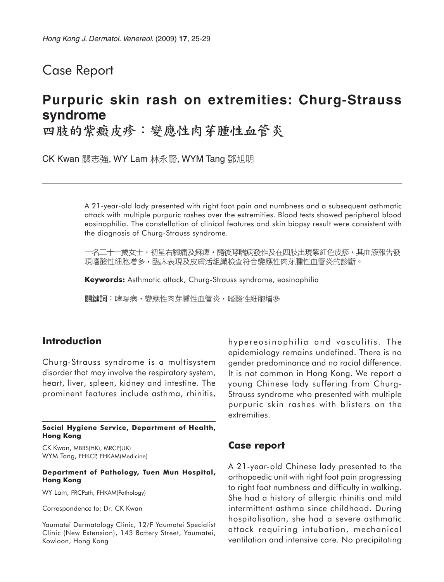## Case Report

# **Purpuric skin rash on extremities: Churg-Strauss syndrome**

四肢的紫癜皮疹:變應性肉芽腫性血管炎

CK Kwan 關志強, WY Lam 林永賢, WYM Tang 鄧旭明

A 21-year-old lady presented with right foot pain and numbness and a subsequent asthmatic attack with multiple purpuric rashes over the extremities. Blood tests showed peripheral blood eosinophilia. The constellation of clinical features and skin biopsy result were consistent with the diagnosis of Churg-Strauss syndrome.

一名二十一歲女士,初呈右腳痛及痳痺,隨後哮喘病發作及在四肢出現紫紅色皮疹,其血液報告發 現嗜酸性細胞增多,臨床表現及皮膚活組織檢查符合變應性肉芽腫性血管炎的診斷。

**Keywords:** Asthmatic attack, Churg-Strauss syndrome, eosinophilia

關鍵詞:哮喘病,變應性肉芽腫性血管炎,嗜酸性細胞增多

## **Introduction**

Churg-Strauss syndrome is a multisystem disorder that may involve the respiratory system, heart, liver, spleen, kidney and intestine. The prominent features include asthma, rhinitis,

**Social Hygiene Service, Department of Health, Hong Kong**

CK Kwan, MBBS(HK), MRCP(UK) WYM Tang, FHKCP, FHKAM(Medicine)

#### **Department of Pathology, Tuen Mun Hospital, Hong Kong**

WY Lam, FRCPath, FHKAM(Pathology)

Correspondence to: Dr. CK Kwan

Yaumatei Dermatology Clinic, 12/F Yaumatei Specialist Clinic (New Extension), 143 Battery Street, Yaumatei, Kowloon, Hong Kong

hypereosinophilia and vasculitis. The epidemiology remains undefined. There is no gender predominance and no racial difference. It is not common in Hong Kong. We report a young Chinese lady suffering from Churg-Strauss syndrome who presented with multiple purpuric skin rashes with blisters on the extremities.

### **Case report**

A 21-year-old Chinese lady presented to the orthopaedic unit with right foot pain progressing to right foot numbness and difficulty in walking. She had a history of allergic rhinitis and mild intermittent asthma since childhood. During hospitalisation, she had a severe asthmatic attack requiring intubation, mechanical ventilation and intensive care. No precipitating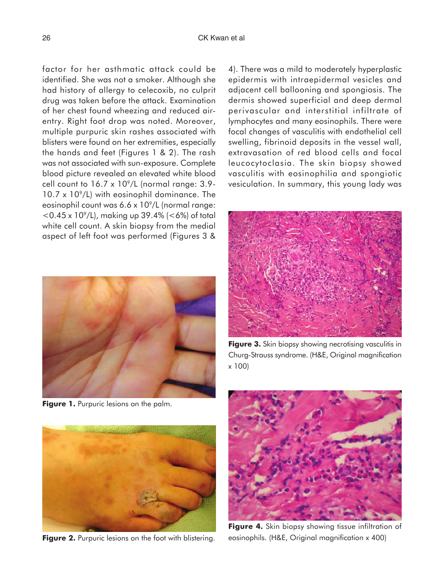factor for her asthmatic attack could be identified. She was not a smoker. Although she had history of allergy to celecoxib, no culprit drug was taken before the attack. Examination of her chest found wheezing and reduced airentry. Right foot drop was noted. Moreover, multiple purpuric skin rashes associated with blisters were found on her extremities, especially the hands and feet (Figures 1 & 2). The rash was not associated with sun-exposure. Complete blood picture revealed an elevated white blood cell count to  $16.7 \times 10^9$ /L (normal range: 3.9- $10.7 \times 10^{9}$ /L) with eosinophil dominance. The eosinophil count was  $6.6 \times 10^9$ /L (normal range:  $<$  0.45 x 10<sup>9</sup>/L), making up 39.4% ( $<$  6%) of total white cell count. A skin biopsy from the medial aspect of left foot was performed (Figures 3 &



**Figure 1.** Purpuric lesions on the palm.



**Figure 2.** Purpuric lesions on the foot with blistering.

4). There was a mild to moderately hyperplastic epidermis with intraepidermal vesicles and adjacent cell ballooning and spongiosis. The dermis showed superficial and deep dermal perivascular and interstitial infiltrate of lymphocytes and many eosinophils. There were focal changes of vasculitis with endothelial cell swelling, fibrinoid deposits in the vessel wall, extravasation of red blood cells and focal leucocytoclasia. The skin biopsy showed vasculitis with eosinophilia and spongiotic vesiculation. In summary, this young lady was



**Figure 3.** Skin biopsy showing necrotising vasculitis in Churg-Strauss syndrome. (H&E, Original magnification x 100)



**Figure 4.** Skin biopsy showing tissue infiltration of eosinophils. (H&E, Original magnification x 400)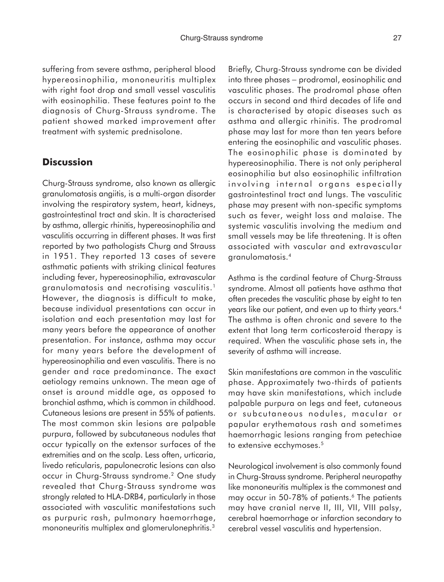suffering from severe asthma, peripheral blood hypereosinophilia, mononeuritis multiplex with right foot drop and small vessel vasculitis with eosinophilia. These features point to the diagnosis of Churg-Strauss syndrome. The patient showed marked improvement after treatment with systemic prednisolone.

## **Discussion**

Churg-Strauss syndrome, also known as allergic granulomatosis angiitis, is a multi-organ disorder involving the respiratory system, heart, kidneys, gastrointestinal tract and skin. It is characterised by asthma, allergic rhinitis, hypereosinophilia and vasculitis occurring in different phases. It was first reported by two pathologists Churg and Strauss in 1951. They reported 13 cases of severe asthmatic patients with striking clinical features including fever, hypereosinophilia, extravascular granulomatosis and necrotising vasculitis.<sup>1</sup> However, the diagnosis is difficult to make, because individual presentations can occur in isolation and each presentation may last for many years before the appearance of another presentation. For instance, asthma may occur for many years before the development of hypereosinophilia and even vasculitis. There is no gender and race predominance. The exact aetiology remains unknown. The mean age of onset is around middle age, as opposed to bronchial asthma, which is common in childhood. Cutaneous lesions are present in 55% of patients. The most common skin lesions are palpable purpura, followed by subcutaneous nodules that occur typically on the extensor surfaces of the extremities and on the scalp. Less often, urticaria, livedo reticularis, papulonecrotic lesions can also occur in Churg-Strauss syndrome.2 One study revealed that Churg-Strauss syndrome was strongly related to HLA-DRB4, particularly in those associated with vasculitic manifestations such as purpuric rash, pulmonary haemorrhage, mononeuritis multiplex and glomerulonephritis.3

Briefly, Churg-Strauss syndrome can be divided into three phases − prodromal, eosinophilic and vasculitic phases. The prodromal phase often occurs in second and third decades of life and is characterised by atopic diseases such as asthma and allergic rhinitis. The prodromal phase may last for more than ten years before entering the eosinophilic and vasculitic phases. The eosinophilic phase is dominated by hypereosinophilia. There is not only peripheral eosinophilia but also eosinophilic infiltration involving internal organs especially gastrointestinal tract and lungs. The vasculitic phase may present with non-specific symptoms such as fever, weight loss and malaise. The systemic vasculitis involving the medium and small vessels may be life threatening. It is often associated with vascular and extravascular granulomatosis.4

Asthma is the cardinal feature of Churg-Strauss syndrome. Almost all patients have asthma that often precedes the vasculitic phase by eight to ten years like our patient, and even up to thirty years.4 The asthma is often chronic and severe to the extent that long term corticosteroid therapy is required. When the vasculitic phase sets in, the severity of asthma will increase.

Skin manifestations are common in the vasculitic phase. Approximately two-thirds of patients may have skin manifestations, which include palpable purpura on legs and feet, cutaneous or subcutaneous nodules, macular or papular erythematous rash and sometimes haemorrhagic lesions ranging from petechiae to extensive ecchymoses.<sup>5</sup>

Neurological involvement is also commonly found in Churg-Strauss syndrome. Peripheral neuropathy like mononeuritis multiplex is the commonest and may occur in 50-78% of patients.<sup>6</sup> The patients may have cranial nerve II, III, VII, VIII palsy, cerebral haemorrhage or infarction secondary to cerebral vessel vasculitis and hypertension.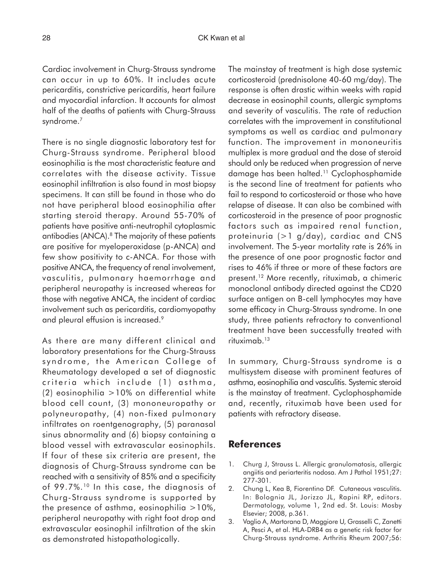Cardiac involvement in Churg-Strauss syndrome can occur in up to 60%. It includes acute pericarditis, constrictive pericarditis, heart failure and myocardial infarction. It accounts for almost half of the deaths of patients with Churg-Strauss syndrome.7

There is no single diagnostic laboratory test for Churg-Strauss syndrome. Peripheral blood eosinophilia is the most characteristic feature and correlates with the disease activity. Tissue eosinophil infiltration is also found in most biopsy specimens. It can still be found in those who do not have peripheral blood eosinophilia after starting steroid therapy. Around 55-70% of patients have positive anti-neutrophil cytoplasmic antibodies (ANCA).<sup>8</sup> The majority of these patients are positive for myeloperoxidase (p-ANCA) and few show positivity to c-ANCA. For those with positive ANCA, the frequency of renal involvement, vasculitis, pulmonary haemorrhage and peripheral neuropathy is increased whereas for those with negative ANCA, the incident of cardiac involvement such as pericarditis, cardiomyopathy and pleural effusion is increased.<sup>9</sup>

As there are many different clinical and laboratory presentations for the Churg-Strauss syndrome, the American College of Rheumatology developed a set of diagnostic criteria which include (1) asthma,  $(2)$  eosinophilia  $>10%$  on differential white blood cell count, (3) mononeuropathy or polyneuropathy, (4) non-fixed pulmonary infiltrates on roentgenography, (5) paranasal sinus abnormality and (6) biopsy containing a blood vessel with extravascular eosinophils. If four of these six criteria are present, the diagnosis of Churg-Strauss syndrome can be reached with a sensitivity of 85% and a specificity of 99.7%.<sup>10</sup> In this case, the diagnosis of Churg-Strauss syndrome is supported by the presence of asthma, eosinophilia  $>10\%$ , peripheral neuropathy with right foot drop and extravascular eosinophil infiltration of the skin as demonstrated histopathologically.

The mainstay of treatment is high dose systemic corticosteroid (prednisolone 40-60 mg/day). The response is often drastic within weeks with rapid decrease in eosinophil counts, allergic symptoms and severity of vasculitis. The rate of reduction correlates with the improvement in constitutional symptoms as well as cardiac and pulmonary function. The improvement in mononeuritis multiplex is more gradual and the dose of steroid should only be reduced when progression of nerve damage has been halted.11 Cyclophosphamide is the second line of treatment for patients who fail to respond to corticosteroid or those who have relapse of disease. It can also be combined with corticosteroid in the presence of poor prognostic factors such as impaired renal function, proteinuria (>1 g/day), cardiac and CNS involvement. The 5-year mortality rate is 26% in the presence of one poor prognostic factor and rises to 46% if three or more of these factors are present.12 More recently, rituximab, a chimeric monoclonal antibody directed against the CD20 surface antigen on B-cell lymphocytes may have some efficacy in Churg-Strauss syndrome. In one study, three patients refractory to conventional treatment have been successfully treated with rituximab.13

In summary, Churg-Strauss syndrome is a multisystem disease with prominent features of asthma, eosinophilia and vasculitis. Systemic steroid is the mainstay of treatment. Cyclophosphamide and, recently, rituximab have been used for patients with refractory disease.

## **References**

- 1. Churg J, Strauss L. Allergic granulomatosis, allergic angiitis and periarteritis nodosa. Am J Pathol 1951;27: 277-301.
- 2. Chung L, Kea B, Fiorentino DF. Cutaneous vasculitis. In: Bolognia JL, Jorizzo JL, Rapini RP, editors. Dermatology, volume 1, 2nd ed. St. Louis: Mosby Elsevier; 2008, p.361.
- 3. Vaglio A, Martorana D, Maggiore U, Grasselli C, Zanetti A, Pesci A, et al. HLA-DRB4 as a genetic risk factor for Churg-Strauss syndrome. Arthritis Rheum 2007;56: